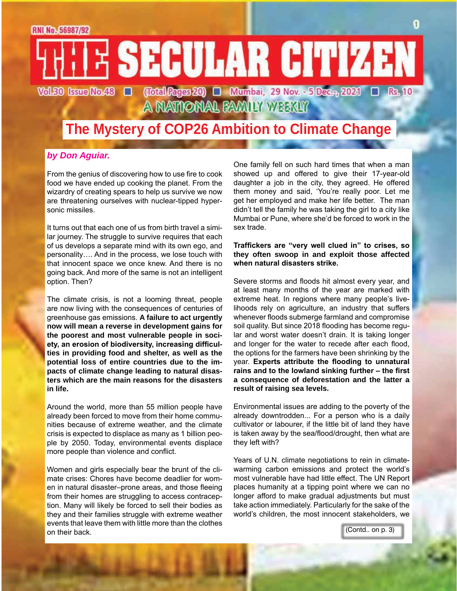

## **The Mystery of COP26 Ambition to Climate Change**

#### *by Don Aguiar.*

From the genius of discovering how to use fire to cook food we have ended up cooking the planet. From the wizardry of creating spears to help us survive we now are threatening ourselves with nuclear-tipped hypersonic missiles.

It turns out that each one of us from birth travel a similar journey. The struggle to survive requires that each of us develops a separate mind with its own ego, and personality…. And in the process, we lose touch with that innocent space we once knew. And there is no going back. And more of the same is not an intelligent option. Then?

The climate crisis, is not a looming threat, people are now living with the consequences of centuries of greenhouse gas emissions. **A failure to act urgently now will mean a reverse in development gains for the poorest and most vulnerable people in society, an erosion of biodiversity, increasing difficulties in providing food and shelter, as well as the potential loss of entire countries due to the impacts of climate change leading to natural disasters which are the main reasons for the disasters in life.**

Around the world, more than 55 million people have already been forced to move from their home communities because of extreme weather, and the climate crisis is expected to displace as many as 1 billion people by 2050. Today, environmental events displace more people than violence and conflict.

Women and girls especially bear the brunt of the climate crises: Chores have become deadlier for women in natural disaster–prone areas, and those fleeing from their homes are struggling to access contraception. Many will likely be forced to sell their bodies as they and their families struggle with extreme weather events that leave them with little more than the clothes on their back.

One family fell on such hard times that when a man showed up and offered to give their 17-year-old daughter a job in the city, they agreed. He offered them money and said, 'You're really poor. Let me get her employed and make her life better. The man didn't tell the family he was taking the girl to a city like Mumbai or Pune, where she'd be forced to work in the sex trade.

#### **Traffickers are "very well clued in" to crises, so they often swoop in and exploit those affected when natural disasters strike.**

Severe storms and floods hit almost every year, and at least many months of the year are marked with extreme heat. In regions where many people's livelihoods rely on agriculture, an industry that suffers whenever floods submerge farmland and compromise soil quality. But since 2018 flooding has become regular and worst water doesn't drain. It is taking longer and longer for the water to recede after each flood, the options for the farmers have been shrinking by the year. **Experts attribute the flooding to unnatural rains and to the lowland sinking further – the first a consequence of deforestation and the latter a result of raising sea levels.**

Environmental issues are adding to the poverty of the already downtrodden... For a person who is a daily cultivator or labourer, if the little bit of land they have is taken away by the sea/flood/drought, then what are they left with?

Years of U.N. climate negotiations to rein in climatewarming carbon emissions and protect the world's most vulnerable have had little effect. The UN Report places humanity at a tipping point where we can no longer afford to make gradual adjustments but must take action immediately. Particularly for the sake of the world's children, the most innocent stakeholders, we

(Contd.. on p. 3)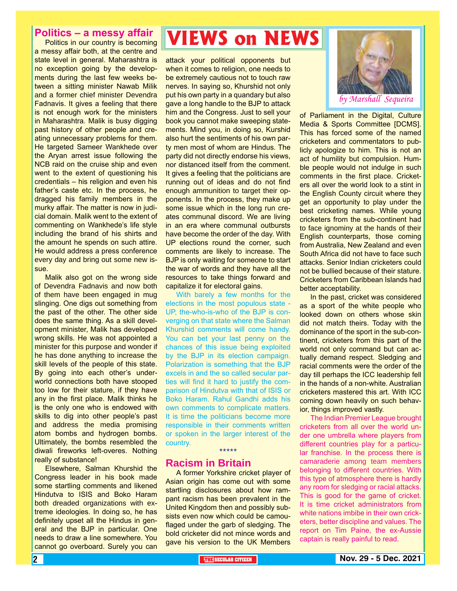#### **Politics – a messy affair**

Politics in our country is becoming a messy affair both, at the centre and state level in general. Maharashtra is no exception going by the developments during the last few weeks between a sitting minister Nawab Milik and a former chief minister Devendra Fadnavis. It gives a feeling that there is not enough work for the ministers in Maharashtra. Malik is busy digging past history of other people and creating unnecessary problems for them. He targeted Sameer Wankhede over the Aryan arrest issue following the NCB raid on the cruise ship and even went to the extent of questioning his credentials – his religion and even his father's caste etc. In the process, he dragged his family members in the murky affair. The matter is now in judicial domain. Malik went to the extent of commenting on Wankhede's life style including the brand of his shirts and the amount he spends on such attire. He would address a press conference every day and bring out some new issue.

Malik also got on the wrong side of Devendra Fadnavis and now both of them have been engaged in mug slinging. One digs out something from the past of the other. The other side does the same thing. As a skill development minister, Malik has developed wrong skills. He was not appointed a minister for this purpose and wonder if he has done anything to increase the skill levels of the people of this state. By going into each other's underworld connections both have stooped too low for their stature, if they have any in the first place. Malik thinks he is the only one who is endowed with skills to dig into other people's past and address the media promising atom bombs and hydrogen bombs. Ultimately, the bombs resembled the diwali fireworks left-overes. Nothing really of substance!

Elsewhere, Salman Khurshid the Congress leader in his book made some startling comments and likened Hindutva to ISIS and Boko Haram both dreaded organizations with extreme ideologies. In doing so, he has definitely upset all the Hindus in general and the BJP in particular. One needs to draw a line somewhere. You cannot go overboard. Surely you can

## **VIEWS on NEWS**

attack your political opponents but when it comes to religion, one needs to be extremely cautious not to touch raw nerves. In saying so, Khurshid not only put his own party in a quandary but also gave a long handle to the BJP to attack him and the Congress. Just to sell your book you cannot make sweeping statements. Mind you, in doing so, Kurshid also hurt the sentiments of his own party men most of whom are Hindus. The party did not directly endorse his views, nor distanced itself from the comment. It gives a feeling that the politicians are running out of ideas and do not find enough ammunition to target their opponents. In the process, they make up some issue which in the long run creates communal discord. We are living in an era where communal outbursts have become the order of the day. With UP elections round the corner, such comments are likely to increase. The BJP is only waiting for someone to start the war of words and they have all the resources to take things forward and capitalize it for electoral gains.

With barely a few months for the elections in the most populous state - UP, the-who-is-who of the BJP is converging on that state where the Salman Khurshid comments will come handy. You can bet your last penny on the chances of this issue being exploited by the BJP in its election campaign. Polarization is something that the BJP excels in and the so called secular parties will find it hard to justify the comparison of Hindutva with that of ISIS or Boko Haram. Rahul Gandhi adds his own comments to complicate matters. It is time the politicians become more responsible in their comments written or spoken in the larger interest of the country. \*\*\*\*\*

#### **Racism in Britain**

A former Yorkshire cricket player of Asian origin has come out with some startling disclosures about how rampant racism has been prevalent in the United Kingdom then and possibly subsists even now which could be camouflaged under the garb of sledging. The bold cricketer did not mince words and gave his version to the UK Members



of Parliament in the Digital, Culture Media & Sports Committee [DCMS]. This has forced some of the named cricketers and commentators to publicly apologize to him. This is not an act of humility but compulsion. Humble people would not indulge in such comments in the first place. Cricketers all over the world look to a stint in the English County circuit where they get an opportunity to play under the best cricketing names. While young cricketers from the sub-continent had to face ignominy at the hands of their English counterparts, those coming from Australia, New Zealand and even South Africa did not have to face such attacks. Senior Indian cricketers could not be bullied because of their stature. Cricketers from Caribbean Islands had better acceptability.

In the past, cricket was considered as a sport of the white people who looked down on others whose skin did not match theirs. Today with the dominance of the sport in the sub-continent, cricketers from this part of the world not only command but can actually demand respect. Sledging and racial comments were the order of the day till perhaps the ICC leadership fell in the hands of a non-white. Australian cricketers mastered this art. With ICC coming down heavily on such behavior, things improved vastly.

The Indian Premier League brought cricketers from all over the world under one umbrella where players from different countries play for a particular franchise. In the process there is camaraderie among team members belonging to different countries. With this type of atmosphere there is hardly any room for sledging or racial attacks. This is good for the game of cricket. It is time cricket administrators from white nations imbibe in their own cricketers, better discipline and values. The report on Tim Paine, the ex-Aussie captain is really painful to read.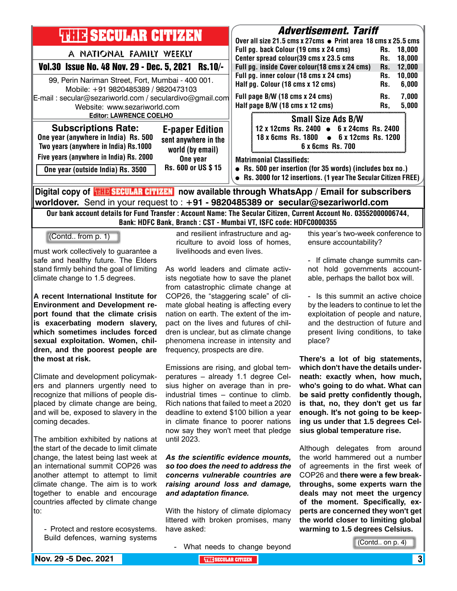| <b>THILE SECULAR CITIZEN</b><br>A NATIONAL FAMILY WEEKLY<br>Vol.30 Issue No. 48 Nov. 29 - Dec. 5, 2021 Rs.10/-<br>99, Perin Nariman Street, Fort, Mumbai - 400 001.<br>Mobile: +91 9820485389 / 9820473103<br>E-mail: secular@sezariworld.com / seculardivo@gmail.com<br>Website: www.sezariworld.com<br><b>Editor: LAWRENCE COELHO</b> |                                                                    | <b>Advertisement. Tariff</b><br>Over all size 21.5 cms x 27cms ● Print area 18 cms x 25.5 cms<br>Full pg. back Colour (19 cms x 24 cms)<br>Center spread colour(39 cms x 23.5 cms<br>Full pg. inside Cover colour(18 cms x 24 cms)<br>Full pg. inner colour (18 cms x 24 cms)<br>Half pg. Colour (18 cms x 12 cms)<br>Full page B/W (18 cms x 24 cms)<br>Half page B/W (18 cms x 12 cms) |                                                                                                                                              | Rs.<br>Rs.<br>Rs.<br>Rs.<br>Rs.<br>Rs.<br>Rs, | 18.000<br>18,000<br>12,000<br>10,000<br>6,000<br>7,000<br>5,000 |  |
|-----------------------------------------------------------------------------------------------------------------------------------------------------------------------------------------------------------------------------------------------------------------------------------------------------------------------------------------|--------------------------------------------------------------------|------------------------------------------------------------------------------------------------------------------------------------------------------------------------------------------------------------------------------------------------------------------------------------------------------------------------------------------------------------------------------------------|----------------------------------------------------------------------------------------------------------------------------------------------|-----------------------------------------------|-----------------------------------------------------------------|--|
| <b>Subscriptions Rate:</b><br>One year (anywhere in India) Rs. 500<br>Two years (anywhere in India) Rs.1000                                                                                                                                                                                                                             | <b>E-paper Edition</b><br>sent anywhere in the<br>world (by email) |                                                                                                                                                                                                                                                                                                                                                                                          | <b>Small Size Ads B/W</b><br>12 x 12cms Rs. 2400 $\bullet$ 6 x 24cms Rs. 2400<br>18 x 6cms Rs. 1800 • 6 x 12cms Rs. 1200<br>6 x 6cms Rs. 700 |                                               |                                                                 |  |
| Five years (anywhere in India) Rs. 2000<br>One year<br>Rs. 600 or US \$15<br>One year (outside India) Rs. 3500                                                                                                                                                                                                                          |                                                                    | <b>Matrimonial Classifieds:</b><br>• Rs. 500 per insertion (for 35 words) (includes box no.)<br>• Rs. 3000 for 12 insertions. (1 year The Secular Citizen FREE)                                                                                                                                                                                                                          |                                                                                                                                              |                                               |                                                                 |  |
| Digital copy of <b>THE SECULAR CITIZEN</b> now available through WhatsApp / Email for subscribers<br>worldover. Send in your request to : $+91$ - 9820485389 or secular@sezariworld.com                                                                                                                                                 |                                                                    |                                                                                                                                                                                                                                                                                                                                                                                          |                                                                                                                                              |                                               |                                                                 |  |

Our bank account details for Fund Transfer : Account Name: The Secular Citizen, Current Account No. 03552000006744, Bank: HDFC Bank, Branch : CST - Mumbai VT, ISFC code: HDFC0000355

(Contd.. from p. 1)

must work collectively to guarantee a safe and healthy future. The Elders stand firmly behind the goal of limiting climate change to 1.5 degrees.

**A recent International Institute for Environment and Development report found that the climate crisis is exacerbating modern slavery, which sometimes includes forced sexual exploitation. Women, children, and the poorest people are the most at risk.**

Climate and development policymakers and planners urgently need to recognize that millions of people displaced by climate change are being, and will be, exposed to slavery in the coming decades.

The ambition exhibited by nations at the start of the decade to limit climate change, the latest being last week at an international summit COP26 was another attempt to attempt to limit climate change. The aim is to work together to enable and encourage countries affected by climate change to:

- Protect and restore ecosystems. Build defences, warning systems

and resilient infrastructure and agriculture to avoid loss of homes, livelihoods and even lives.

As world leaders and climate activists negotiate how to save the planet from catastrophic climate change at COP26, the "staggering scale" of climate global heating is affecting every nation on earth. The extent of the impact on the lives and futures of children is unclear, but as climate change phenomena increase in intensity and frequency, prospects are dire.

Emissions are rising, and global temperatures – already 1.1 degree Celsius higher on average than in preindustrial times – continue to climb. Rich nations that failed to meet a 2020 deadline to extend \$100 billion a year in climate finance to poorer nations now say they won't meet that pledge until 2023.

*As the scientific evidence mounts, so too does the need to address the concerns vulnerable countries are raising around loss and damage, and adaptation finance.*

With the history of climate diplomacy littered with broken promises, many have asked:

- What needs to change beyond

this year's two-week conference to ensure accountability?

- If climate change summits cannot hold governments accountable, perhaps the ballot box will.

- Is this summit an active choice by the leaders to continue to let the exploitation of people and nature, and the destruction of future and present living conditions, to take place?

**There's a lot of big statements, which don't have the details underneath: exactly when, how much, who's going to do what. What can be said pretty confidently though, is that, no, they don't get us far enough. It's not going to be keeping us under that 1.5 degrees Celsius global temperature rise.**

Although delegates from around the world hammered out a number of agreements in the first week of COP26 and **there were a few breakthroughs, some experts warn the deals may not meet the urgency of the moment. Specifically, experts are concerned they won't get the world closer to limiting global warming to 1.5 degrees Celsius.**

(Contd.. on p. 4)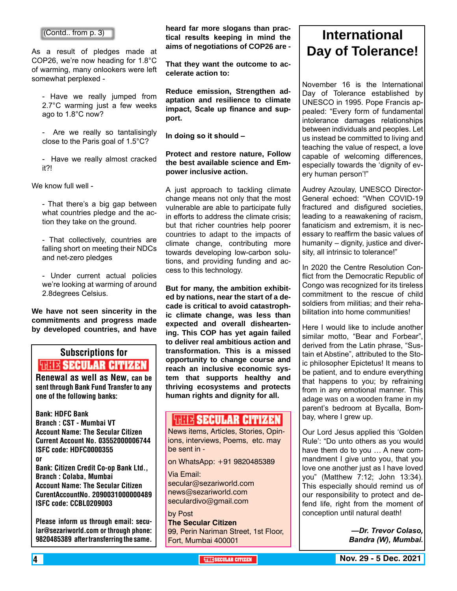#### (Contd.. from p. 3)

As a result of pledges made at COP26, we're now heading for 1.8°C of warming, many onlookers were left somewhat perplexed -

- Have we really jumped from 2.7°C warming just a few weeks ago to 1.8°C now?

- Are we really so tantalisingly close to the Paris goal of 1.5°C?

- Have we really almost cracked it?!

We know full well -

- That there's a big gap between what countries pledge and the action they take on the ground.

- That collectively, countries are falling short on meeting their NDCs and net-zero pledges

- Under current actual policies we're looking at warming of around 2.8degrees Celsius.

**We have not seen sincerity in the commitments and progress made by developed countries, and have** 

## Subscriptions for **RENEW SECULAR CITIZEN**<br>Renewal as well as New, can be

sent through Bank Fund Transfer to any one of the following banks:

Bank: HDFC Bank Branch : CST - Mumbai VT Account Name: The Secular Citizen Current Account No. 03552000006744 ISFC code: HDFC0000355 or Bank: Citizen Credit Co-op Bank Ltd., Branch : Colaba, Mumbai Account Name: The Secular Citizen CurentAccountNo. 2090031000000489 ISFC code: CCBL0209003

Please inform us through email: secular@sezariworld.com or through phone: 9820485389 after transferring the same.

**heard far more slogans than practical results keeping in mind the aims of negotiations of COP26 are -**

**That they want the outcome to accelerate action to:**

**Reduce emission, Strengthen adaptation and resilience to climate impact, Scale up finance and support.**

**In doing so it should –**

#### **Protect and restore nature, Follow the best available science and Empower inclusive action.**

A just approach to tackling climate change means not only that the most vulnerable are able to participate fully in efforts to address the climate crisis; but that richer countries help poorer countries to adapt to the impacts of climate change, contributing more towards developing low-carbon solutions, and providing funding and access to this technology.

**But for many, the ambition exhibited by nations, near the start of a decade is critical to avoid catastrophic climate change, was less than expected and overall disheartening. This COP has yet again failed to deliver real ambitious action and transformation. This is a missed opportunity to change course and reach an inclusive economic system that supports healthy and thriving ecosystems and protects human rights and dignity for all.**

#### **WEIX SECULAR CITIZEN**

News items, Articles, Stories, Opinions, interviews, Poems, etc. may be sent in -

on WhatsApp: +91 9820485389

Via Email: secular@sezariworld.com news@sezariworld.com seculardivo@gmail.com

by Post **The Secular Citizen** 99, Perin Nariman Street, 1st Floor, Fort, Mumbai 400001

### **International Day of Tolerance!**

November 16 is the International Day of Tolerance established by UNESCO in 1995. Pope Francis appealed: "Every form of fundamental intolerance damages relationships between individuals and peoples. Let us instead be committed to living and teaching the value of respect, a love capable of welcoming differences, especially towards the 'dignity of every human person'!"

Audrey Azoulay, UNESCO Director-General echoed: "When COVID-19 fractured and disfigured societies, leading to a reawakening of racism, fanaticism and extremism, it is necessary to reaffirm the basic values of humanity – dignity, justice and diversity, all intrinsic to tolerance!"

In 2020 the Centre Resolution Conflict from the Democratic Republic of Congo was recognized for its tireless commitment to the rescue of child soldiers from militias; and their rehabilitation into home communities!

Here I would like to include another similar motto, "Bear and Forbear", derived from the Latin phrase, "Sustain et Abstine", attributed to the Stoic philosopher Epictetus! It means to be patient, and to endure everything that happens to you; by refraining from in any emotional manner. This adage was on a wooden frame in my parent's bedroom at Bycalla, Bombay, where I grew up.

Our Lord Jesus applied this 'Golden Rule': "Do unto others as you would have them do to you … A new commandment I give unto you, that you love one another just as I have loved you" (Matthew 7:12; John 13:34). This especially should remind us of our responsibility to protect and defend life, right from the moment of conception until natural death!

> *—Dr. Trevor Colaso, Bandra (W), Mumbai.*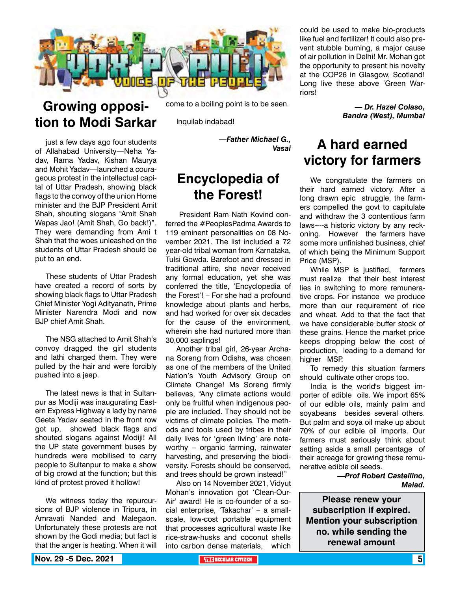

## **Growing opposition to Modi Sarkar**

just a few days ago four students of Allahabad University—Neha Yadav, Rama Yadav, Kishan Maurya and Mohit Yadav—launched a courageous protest in the intellectual capital of Uttar Pradesh, showing black flags to the convoy of the union Home minister and the BJP President Amit Shah, shouting slogans "Amit Shah Wapas Jao! (Amit Shah, Go back!)". They were demanding from Ami t Shah that the woes unleashed on the students of Uttar Pradesh should be put to an end.

These students of Uttar Pradesh have created a record of sorts by showing black flags to Uttar Pradesh Chief Minister Yogi Adityanath, Prime Minister Narendra Modi and now BJP chief Amit Shah.

The NSG attached to Amit Shah's convoy dragged the girl students and lathi charged them. They were pulled by the hair and were forcibly pushed into a jeep.

The latest news is that in Sultanpur as Modiji was inaugurating Eastern Express Highway a lady by name Geeta Yadav seated in the front row got up, showed black flags and shouted slogans against Modiji! All the UP state government buses by hundreds were mobilised to carry people to Sultanpur to make a show of big crowd at the function; but this kind of protest proved it hollow!

We witness today the repurcursions of BJP violence in Tripura, in Amravati Nanded and Malegaon. Unfortunately these protests are not shown by the Godi media; but fact is that the anger is heating. When it will

come to a boiling point is to be seen.

Inquilab indabad!

*—Father Michael G., Vasai*

### **Encyclopedia of the Forest!**

 President Ram Nath Kovind conferred the #PeoplesPadma Awards to 119 eminent personalities on 08 November 2021. The list included a 72 year-old tribal woman from Karnataka, Tulsi Gowda. Barefoot and dressed in traditional attire, she never received any formal education, yet she was conferred the title, 'Encyclopedia of the Forest'! – For she had a profound knowledge about plants and herbs, and had worked for over six decades for the cause of the environment, wherein she had nurtured more than 30,000 saplings!

Another tribal girl, 26-year Archana Soreng from Odisha, was chosen as one of the members of the United Nation's Youth Advisory Group on Climate Change! Ms Soreng firmly believes, "Any climate actions would only be fruitful when indigenous people are included. They should not be victims of climate policies. The methods and tools used by tribes in their daily lives for 'green living' are noteworthy – organic farming, rainwater harvesting, and preserving the biodiversity. Forests should be conserved, and trees should be grown instead!"

Also on 14 November 2021, Vidyut Mohan's innovation got 'Clean-Our-Air' award! He is co-founder of a social enterprise, 'Takachar' – a smallscale, low-cost portable equipment that processes agricultural waste like rice-straw-husks and coconut shells into carbon dense materials, which

could be used to make bio-products like fuel and fertilizer! It could also prevent stubble burning, a major cause of air pollution in Delhi! Mr. Mohan got the opportunity to present his novelty at the COP26 in Glasgow, Scotland! Long live these above 'Green Warriors!

> *— Dr. Hazel Colaso, Bandra (West), Mumbai*

### **A hard earned victory for farmers**

We congratulate the farmers on their hard earned victory. After a long drawn epic struggle, the farmers compelled the govt to capitulate and withdraw the 3 contentious farm laws----a historic victory by any reckoning. However the farmers have some more unfinished business, chief of which being the Minimum Support Price (MSP).

While MSP is justified, farmers must realize that their best interest lies in switching to more remunerative crops. For instance we produce more than our requirement of rice and wheat. Add to that the fact that we have considerable buffer stock of these grains. Hence the market price keeps dropping below the cost of production, leading to a demand for higher MSP.

To remedy this situation farmers should cultivate other crops too.

India is the world's biggest importer of edible oils. We import 65% of our edible oils, mainly palm and soyabeans besides several others. But palm and soya oil make up about 70% of our edible oil imports. Our farmers must seriously think about setting aside a small percentage of their acreage for growing these remunerative edible oil seeds.

> *—Prof Robert Castellino, Malad.*

**Please renew your subscription if expired. Mention your subscription no. while sending the renewal amount**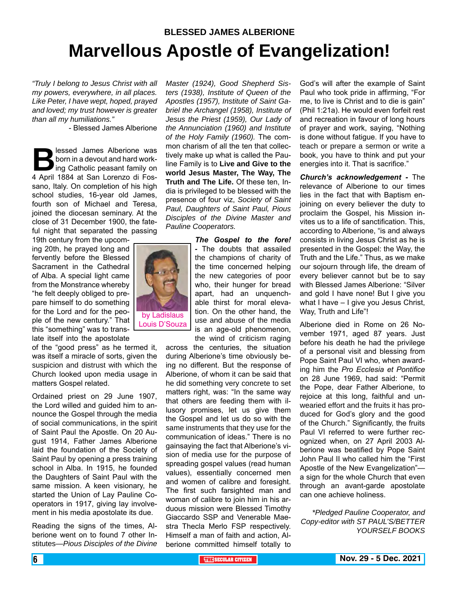## **BLESSED JAMES ALBERIONE Marvellous Apostle of Evangelization!**

*"Truly I belong to Jesus Christ with all my powers, everywhere, in all places. Like Peter, I have wept, hoped, prayed and loved; my trust however is greater than all my humiliations."*

- Blessed James Alberione

**Blessed James Alberione was<br>born in a devout and hard work-<br>ing Catholic peasant family on<br>4 April 1884 at San Lorenzo di Fos**born in a devout and hard working Catholic peasant family on 4 April 1884 at San Lorenzo di Fossano, Italy. On completion of his high school studies, 16-year old James, fourth son of Michael and Teresa, joined the diocesan seminary. At the close of 31 December 1900, the fateful night that separated the passing

19th century from the upcoming 20th, he prayed long and fervently before the Blessed Sacrament in the Cathedral of Alba. A special light came from the Monstrance whereby "he felt deeply obliged to prepare himself to do something for the Lord and for the people of the new century." That this "something" was to translate itself into the apostolate

of the "good press" as he termed it, was itself a miracle of sorts, given the suspicion and distrust with which the Church looked upon media usage in matters Gospel related.

Ordained priest on 29 June 1907, the Lord willed and guided him to announce the Gospel through the media of social communications, in the spirit of Saint Paul the Apostle. On 20 August 1914, Father James Alberione laid the foundation of the Society of Saint Paul by opening a press training school in Alba. In 1915, he founded the Daughters of Saint Paul with the same mission. A keen visionary, he started the Union of Lay Pauline Cooperators in 1917, giving lay involvement in his media apostolate its due.

Reading the signs of the times, Alberione went on to found 7 other Institutes—*Pious Disciples of the Divine*  *Master (1924), Good Shepherd Sisters (1938), Institute of Queen of the Apostles (1957), Institute of Saint Gabriel the Archangel (1958), Institute of Jesus the Priest (1959), Our Lady of the Annunciation (1960) and Institute of the Holy Family (1960).* The common charism of all the ten that collectively make up what is called the Pauline Family is to **Live and Give to the world Jesus Master, The Way, The Truth and The Life.** Of these ten, India is privileged to be blessed with the presence of four viz, *Society of Saint Paul, Daughters of Saint Paul, Pious Disciples of the Divine Master and Pauline Cooperators.*

> *The Gospel to the fore! -* The doubts that assailed the champions of charity of the time concerned helping the new categories of poor who, their hunger for bread apart, had an unquenchable thirst for moral elevation. On the other hand, the use and abuse of the media is an age-old phenomenon, the wind of criticism raging

across the centuries, the situation during Alberione's time obviously being no different. But the response of Alberione, of whom it can be said that he did something very concrete to set matters right, was: "In the same way that others are feeding them with illusory promises, let us give them the Gospel and let us do so with the same instruments that they use for the communication of ideas." There is no gainsaying the fact that Alberione's vision of media use for the purpose of spreading gospel values (read human values), essentially concerned men and women of calibre and foresight. The first such farsighted man and woman of calibre to join him in his arduous mission were Blessed Timothy Giaccardo SSP and Venerable Maestra Thecla Merlo FSP respectively. Himself a man of faith and action, Alberione committed himself totally to

God's will after the example of Saint Paul who took pride in affirming, "For me, to live is Christ and to die is gain" (Phil 1:21a). He would even forfeit rest and recreation in favour of long hours of prayer and work, saying, "Nothing is done without fatigue. If you have to teach or prepare a sermon or write a book, you have to think and put your energies into it. That is sacrifice."

*Church's acknowledgement -* The relevance of Alberione to our times lies in the fact that with Baptism enjoining on every believer the duty to proclaim the Gospel, his Mission invites us to a life of sanctification. This, according to Alberione, "is and always consists in living Jesus Christ as he is presented in the Gospel: the Way, the Truth and the Life." Thus, as we make our sojourn through life, the dream of every believer cannot but be to say with Blessed James Alberione: "Silver and gold I have none! But I give you what I have – I give you Jesus Christ, Way, Truth and Life"!

Alberione died in Rome on 26 November 1971, aged 87 years. Just before his death he had the privilege of a personal visit and blessing from Pope Saint Paul VI who, when awarding him the *Pro Ecclesia et Pontifice* on 28 June 1969, had said: "Permit the Pope, dear Father Alberione, to rejoice at this long, faithful and unwearied effort and the fruits it has produced for God's glory and the good of the Church." Significantly, the fruits Paul VI referred to were further recognized when, on 27 April 2003 Alberione was beatified by Pope Saint John Paul II who called him the "First Apostle of the New Evangelization" a sign for the whole Church that even through an avant-garde apostolate can one achieve holiness.

*\*Pledged Pauline Cooperator, and Copy-editor with ST PAUL'S/BETTER YOURSELF BOOKS*

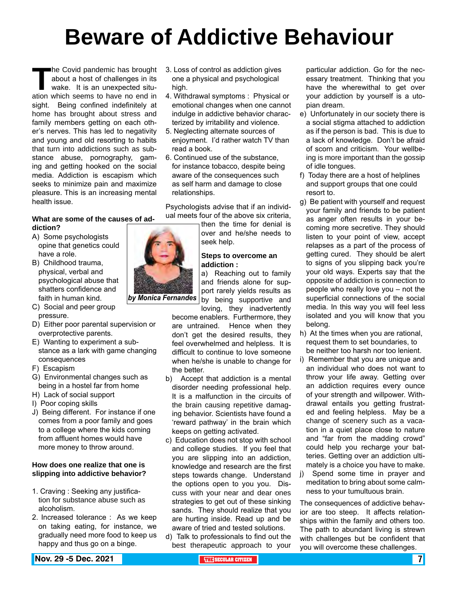# **Beware of Addictive Behaviour**

The Covid pandemic has brought<br>about a host of challenges in its<br>wake. It is an unexpected situ-<br>ation which seems to have no end in about a host of challenges in its wake. It is an unexpected situation which seems to have no end in sight. Being confined indefinitely at home has brought about stress and family members getting on each other's nerves. This has led to negativity and young and old resorting to habits that turn into addictions such as substance abuse, pornography, gaming and getting hooked on the social media. Addiction is escapism which seeks to minimize pain and maximize pleasure. This is an increasing mental health issue.

#### **What are some of the causes of addiction?**

- A) Some psychologists opine that genetics could have a role.
- B) Childhood trauma, physical, verbal and psychological abuse that shatters confidence and faith in human kind.
- C) Social and peer group pressure.
- D) Either poor parental supervision or overprotective parents.
- E) Wanting to experiment a substance as a lark with game changing consequences
- F) Escapism
- G) Environmental changes such as being in a hostel far from home
- H) Lack of social support
- I) Poor coping skills
- J) Being different. For instance if one comes from a poor family and goes to a college where the kids coming from affluent homes would have more money to throw around.

#### **How does one realize that one is slipping into addictive behavior?**

- 1. Craving : Seeking any justification for substance abuse such as alcoholism.
- 2. Increased tolerance : As we keep on taking eating, for instance, we gradually need more food to keep us happy and thus go on a binge.
- 3. Loss of control as addiction gives one a physical and psychological high.
- 4. Withdrawal symptoms : Physical or emotional changes when one cannot indulge in addictive behavior characterized by irritability and violence.
- 5. Neglecting alternate sources of enjoyment. I'd rather watch TV than read a book.
- 6. Continued use of the substance, for instance tobacco, despite being aware of the consequences such as self harm and damage to close relationships.

Psychologists advise that if an individual meets four of the above six criteria,

> then the time for denial is over and he/she needs to seek help.

#### **Steps to overcome an addiction :**

a) Reaching out to family and friends alone for support rarely yields results as by being supportive and loving, they inadvertently

become enablers. Furthermore, they are untrained. Hence when they don't get the desired results, they feel overwhelmed and helpless. It is difficult to continue to love someone when he/she is unable to change for the better.

- b) Accept that addiction is a mental disorder needing professional help. It is a malfunction in the circuits of the brain causing repetitive damaging behavior. Scientists have found a 'reward pathway' in the brain which keeps on getting activated.
- c) Education does not stop with school and college studies. If you feel that you are slipping into an addiction, knowledge and research are the first steps towards change. Understand the options open to you you. Discuss with your near and dear ones strategies to get out of these sinking sands. They should realize that you are hurting inside. Read up and be aware of tried and tested solutions.
- d) Talk to professionals to find out the best therapeutic approach to your

particular addiction. Go for the necessary treatment. Thinking that you have the wherewithal to get over your addiction by yourself is a utopian dream.

- e) Unfortunately in our society there is a social stigma attached to addiction as if the person is bad. This is due to a lack of knowledge. Don't be afraid of scorn and criticism. Your wellbeing is more important than the gossip of idle tongues.
- f) Today there are a host of helplines and support groups that one could resort to.
- g) Be patient with yourself and request your family and friends to be patient as anger often results in your becoming more secretive. They should listen to your point of view, accept relapses as a part of the process of getting cured. They should be alert to signs of you slipping back you're your old ways. Experts say that the opposite of addiction is connection to people who really love you – not the superficial connections of the social media. In this way you will feel less isolated and you will know that you belong.
- h) At the times when you are rational, request them to set boundaries, to be neither too harsh nor too lenient.
- i) Remember that you are unique and an individual who does not want to throw your life away. Getting over an addiction requires every ounce of your strength and willpower. Withdrawal entails you getting frustrated and feeling helpless. May be a change of scenery such as a vacation in a quiet place close to nature and "far from the madding crowd" could help you recharge your batteries. Getting over an addiction ultimately is a choice you have to make.
- j) Spend some time in prayer and meditation to bring about some calmness to your tumultuous brain.

The consequences of addictive behavior are too steep. It affects relationships within the family and others too. The path to abundant living is strewn with challenges but be confident that you will overcome these challenges.

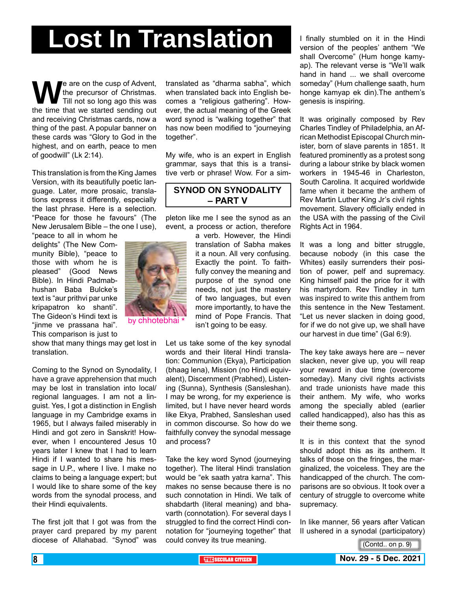# **Lost In Translation**

We are on the cusp of Advent,<br>Till not so long ago this was<br>the time that we started sending out the precursor of Christmas. Till not so long ago this was and receiving Christmas cards, now a thing of the past. A popular banner on these cards was "Glory to God in the highest, and on earth, peace to men of goodwill" (Lk 2:14).

This translation is from the King James Version, with its beautifully poetic language. Later, more prosaic, translations express it differently, especially the last phrase. Here is a selection. "Peace for those he favours" (The New Jerusalem Bible – the one I use),

"peace to all in whom he delights" (The New Community Bible), "peace to those with whom he is pleased" (Good News Bible). In Hindi Padmabhushan Baba Bulcke's text is "aur prithvi par unke kripapatron ko shanti". The Gideon's Hindi text is "jinme ve prassana hai". This comparison is just to

show that many things may get lost in translation.

Coming to the Synod on Synodality, I have a grave apprehension that much may be lost in translation into local/ regional languages. I am not a linguist. Yes, I got a distinction in English language in my Cambridge exams in 1965, but I always failed miserably in Hindi and got zero in Sanskrit! However, when I encountered Jesus 10 years later I knew that I had to learn Hindi if I wanted to share his message in U.P., where I live. I make no claims to being a language expert; but I would like to share some of the key words from the synodal process, and their Hindi equivalents.

The first jolt that I got was from the prayer card prepared by my parent diocese of Allahabad. "Synod" was

translated as "dharma sabha", which when translated back into English becomes a "religious gathering". However, the actual meaning of the Greek word synod is "walking together" that has now been modified to "journeying together".

My wife, who is an expert in English grammar, says that this is a transitive verb or phrase! Wow. For a sim-

#### **SYNOD ON SYNODALITY – PART V**

pleton like me I see the synod as an event, a process or action, therefore

> a verb. However, the Hindi translation of Sabha makes it a noun. All very confusing. Exactly the point. To faithfully convey the meaning and purpose of the synod one needs, not just the mastery of two languages, but even more importantly, to have the mind of Pope Francis. That isn't going to be easy.

Let us take some of the key synodal words and their literal Hindi translation: Communion (Ekya), Participation (bhaag lena), Mission (no Hindi equivalent), Discernment (Prabhed), Listening (Sunna), Synthesis (Sansleshan). I may be wrong, for my experience is limited, but I have never heard words like Ekya, Prabhed, Sansleshan used in common discourse. So how do we faithfully convey the synodal message and process?

Take the key word Synod (journeying together). The literal Hindi translation would be "ek saath yatra karna". This makes no sense because there is no such connotation in Hindi. We talk of shabdarth (literal meaning) and bhavarth (connotation). For several days I struggled to find the correct Hindi connotation for "journeying together" that could convey its true meaning.

I finally stumbled on it in the Hindi version of the peoples' anthem "We shall Overcome" (Hum honge kamyap). The relevant verse is "We'll walk hand in hand ... we shall overcome someday" (Hum challenge saath, hum honge kamyap ek din).The anthem's genesis is inspiring.

It was originally composed by Rev Charles Tindley of Philadelphia, an African Methodist Episcopal Church minister, born of slave parents in 1851. It featured prominently as a protest song during a labour strike by black women workers in 1945-46 in Charleston, South Carolina. It acquired worldwide fame when it became the anthem of Rev Martin Luther King Jr's civil rights movement. Slavery officially ended in the USA with the passing of the Civil Rights Act in 1964.

It was a long and bitter struggle, because nobody (in this case the Whites) easily surrenders their position of power, pelf and supremacy. King himself paid the price for it with his martyrdom. Rev Tindley in turn was inspired to write this anthem from this sentence in the New Testament. "Let us never slacken in doing good, for if we do not give up, we shall have our harvest in due time" (Gal 6:9).

The key take aways here are – never slacken, never give up, you will reap your reward in due time (overcome someday). Many civil rights activists and trade unionists have made this their anthem. My wife, who works among the specially abled (earlier called handicapped), also has this as their theme song.

It is in this context that the synod should adopt this as its anthem. It talks of those on the fringes, the marginalized, the voiceless. They are the handicapped of the church. The comparisons are so obvious. It took over a century of struggle to overcome white supremacy.

In like manner, 56 years after Vatican II ushered in a synodal (participatory)



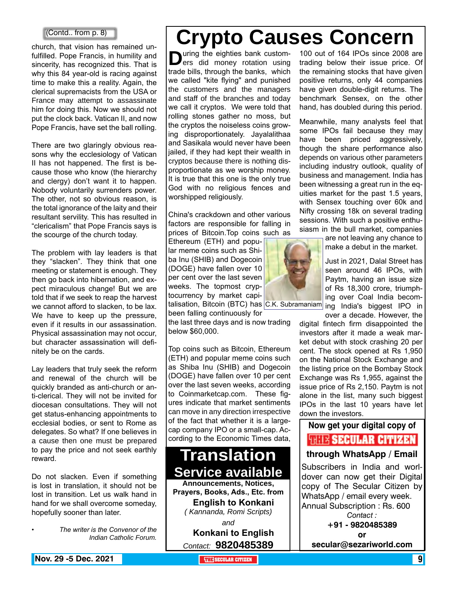#### (Contd.. from p. 8)

church, that vision has remained unfulfilled. Pope Francis, in humility and sincerity, has recognized this. That is why this 84 year-old is racing against time to make this a reality. Again, the clerical supremacists from the USA or France may attempt to assassinate him for doing this. Now we should not put the clock back. Vatican II, and now Pope Francis, have set the ball rolling.

There are two glaringly obvious reasons why the ecclesiology of Vatican II has not happened. The first is because those who know (the hierarchy and clergy) don't want it to happen. Nobody voluntarily surrenders power. The other, not so obvious reason, is the total ignorance of the laity and their resultant servility. This has resulted in "clericalism" that Pope Francis says is the scourge of the church today.

The problem with lay leaders is that they "slacken". They think that one meeting or statement is enough. They then go back into hibernation, and expect miraculous change! But we are told that if we seek to reap the harvest we cannot afford to slacken, to be lax. We have to keep up the pressure, even if it results in our assassination. Physical assassination may not occur, but character assassination will definitely be on the cards.

Lay leaders that truly seek the reform and renewal of the church will be quickly branded as anti-church or anti-clerical. They will not be invited for diocesan consultations. They will not get status-enhancing appointments to ecclesial bodies, or sent to Rome as delegates. So what? If one believes in a cause then one must be prepared to pay the price and not seek earthly reward.

Do not slacken. Even if something is lost in translation, it should not be lost in transition. Let us walk hand in hand for we shall overcome someday, hopefully sooner than later.

*• The writer is the Convenor of the Indian Catholic Forum.*

## **Crypto Causes Concern**

**D**uring the eighties bank custom-<br>ers did money rotation using<br>the hall through the hards which trade bills, through the banks, which we called "kite flying" and punished the customers and the managers and staff of the branches and today we call it cryptos. We were told that rolling stones gather no moss, but the cryptos the noiseless coins growing disproportionately. Jayalalithaa and Sasikala would never have been jailed, if they had kept their wealth in cryptos because there is nothing disproportionate as we worship money. It is true that this one is the only true God with no religious fences and worshipped religiously.

China's crackdown and other various factors are responsible for falling in prices of Bitcoin.Top coins such as

Ethereum (ETH) and popular meme coins such as Shiba Inu (SHIB) and Dogecoin (DOGE) have fallen over 10 per cent over the last seven weeks. The topmost cryptocurrency by market capi-

been falling continuously for

the last three days and is now trading below \$60,000.

Top coins such as Bitcoin, Ethereum (ETH) and popular meme coins such as Shiba Inu (SHIB) and Dogecoin (DOGE) have fallen over 10 per cent over the last seven weeks, according to Coinmarketcap.com. These figures indicate that market sentiments can move in any direction irrespective of the fact that whether it is a largecap company IPO or a small-cap. According to the Economic Times data,

## **Translation Service available Announcements, Notices, Prayers, Books, Ads., Etc. from**

**English to Konkani** *( Kannanda, Romi Scripts) and*

**Konkani to English** *Contact:* **9820485389**

100 out of 164 IPOs since 2008 are trading below their issue price. Of the remaining stocks that have given positive returns, only 44 companies have given double-digit returns. The benchmark Sensex, on the other hand, has doubled during this period.

Meanwhile, many analysts feel that some IPOs fail because they may have been priced aggressively, though the share performance also depends on various other parameters including industry outlook, quality of business and management. India has been witnessing a great run in the equities market for the past 1.5 years, with Sensex touching over 60k and Nifty crossing 18k on several trading sessions. With such a positive enthusiasm in the bull market, companies

> are not leaving any chance to make a debut in the market.

> Just in 2021, Dalal Street has seen around 46 IPOs, with Paytm, having an issue size of Rs 18,300 crore, triumphing over Coal India becom-

talisation, Bitcoin (BTC) has C.K. Subramaniam ing India's biggest IPO in over a decade. However, the

> digital fintech firm disappointed the investors after it made a weak market debut with stock crashing 20 per cent. The stock opened at Rs 1,950 on the National Stock Exchange and the listing price on the Bombay Stock Exchange was Rs 1,955, against the issue price of Rs 2,150. Paytm is not alone in the list, many such biggest IPOs in the last 10 years have let down the investors.

#### **Now get your digital copy of**

**THIR SECULAR CITIZEN** 

#### **through WhatsApp / Email**

Subscribers in India and worldover can now get their Digital copy of The Secular Citizen by WhatsApp / email every week. Annual Subscription : Rs. 600 *Contact :* **+91 - 9820485389**

**or** 

**secular@sezariworld.com**

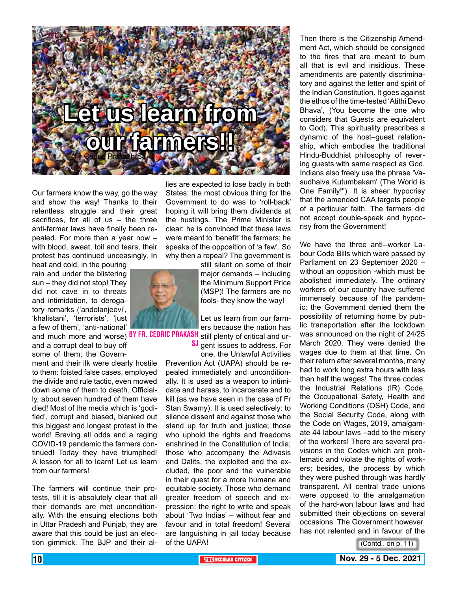

Our farmers know the way, go the way and show the way! Thanks to their relentless struggle and their great sacrifices, for all of us – the three anti-farmer laws have finally been repealed. For more than a year now – with blood, sweat, toil and tears, their protest has continued unceasingly. In

heat and cold, in the pouring rain and under the blistering sun – they did not stop! They did not cave in to threats and intimidation, to derogatory remarks ('andolanjeevi', 'khalistani', 'terrorists', 'just a few of them', 'anti-national' and much more and worse) <sup>BY FR. CEDRIC PRAKASH</sup> still plenty of critical and urand a corrupt deal to buy off some of them; the Govern-

ment and their ilk were clearly hostile to them: foisted false cases, employed the divide and rule tactic, even mowed down some of them to death. Officially, about seven hundred of them have died! Most of the media which is 'godified', corrupt and biased, blanked out this biggest and longest protest in the world! Braving all odds and a raging COVID-19 pandemic the farmers continued! Today they have triumphed! A lesson for all to learn! Let us learn from our farmers!

The farmers will continue their protests, till it is absolutely clear that all their demands are met unconditionally. With the ensuing elections both in Uttar Pradesh and Punjab, they are aware that this could be just an election gimmick. The BJP and their al-

lies are expected to lose badly in both States; the most obvious thing for the Government to do was to 'roll-back' hoping it will bring them dividends at the hustings. The Prime Minister is clear: he is convinced that these laws were meant to 'benefit' the farmers; he speaks of the opposition of 'a few'. So why then a repeal? The government is

> still silent on some of their major demands – including the Minimum Support Price (MSP)! The farmers are no fools- they know the way!

Let us learn from our farmers because the nation has SJ gent issues to address. For

one, the Unlawful Activities Prevention Act (UAPA) should be repealed immediately and unconditionally. It is used as a weapon to intimidate and harass, to incarcerate and to kill (as we have seen in the case of Fr Stan Swamy). It is used selectively: to silence dissent and against those who stand up for truth and justice; those who uphold the rights and freedoms enshrined in the Constitution of India; those who accompany the Adivasis and Dalits, the exploited and the excluded, the poor and the vulnerable in their quest for a more humane and equitable society. Those who demand greater freedom of speech and expression: the right to write and speak about 'Two Indias' – without fear and favour and in total freedom! Several are languishing in jail today because of the UAPA!

Then there is the Citizenship Amendment Act, which should be consigned to the fires that are meant to burn all that is evil and insidious. These amendments are patently discriminatory and against the letter and spirit of the Indian Constitution. It goes against the ethos of the time-tested 'Atithi Devo Bhava', (You become the one who considers that Guests are equivalent to God). This spirituality prescribes a dynamic of the host–guest relationship, which embodies the traditional Hindu-Buddhist philosophy of revering guests with same respect as God. Indians also freely use the phrase 'Vasudhaiva Kutumbakam' (The World is One Family!"). It is sheer hypocrisy that the amended CAA targets people of a particular faith. The farmers did not accept double-speak and hypocrisy from the Government!

We have the three anti--worker Labour Code Bills which were passed by Parliament on 23 September 2020 – without an opposition -which must be abolished immediately. The ordinary workers of our country have suffered immensely because of the pandemic: the Government denied them the possibility of returning home by public transportation after the lockdown was announced on the night of 24/25 March 2020. They were denied the wages due to them at that time. On their return after several months, many had to work long extra hours with less than half the wages! The three codes: the Industrial Relations (IR) Code, the Occupational Safety, Health and Working Conditions (OSH) Code, and the Social Security Code, along with the Code on Wages, 2019, amalgamate 44 labour laws –add to the misery of the workers! There are several provisions in the Codes which are problematic and violate the rights of workers; besides, the process by which they were pushed through was hardly transparent. All central trade unions were opposed to the amalgamation of the hard-won labour laws and had submitted their objections on several occasions. The Government however, has not relented and in favour of the

(Contd.. on p. 11)

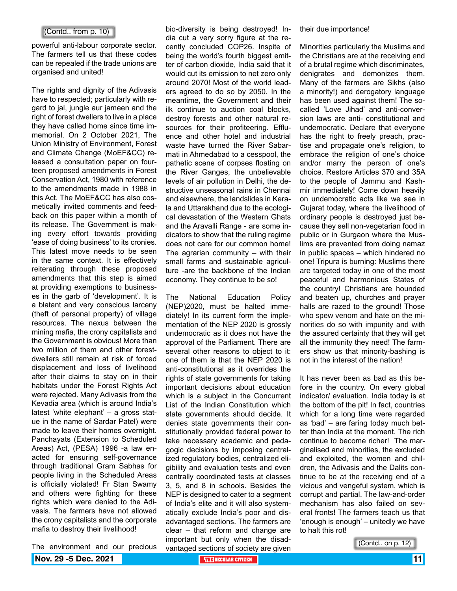#### (Contd.. from p. 10)

powerful anti-labour corporate sector. The farmers tell us that these codes can be repealed if the trade unions are organised and united!

The rights and dignity of the Adivasis have to respected; particularly with regard to jal, jungle aur jameen and the right of forest dwellers to live in a place they have called home since time immemorial. On 2 October 2021, The Union Ministry of Environment, Forest and Climate Change (MoEF&CC) released a consultation paper on fourteen proposed amendments in Forest Conservation Act, 1980 with reference to the amendments made in 1988 in this Act. The MoEF&CC has also cosmetically invited comments and feedback on this paper within a month of its release. The Government is making every effort towards providing 'ease of doing business' to its cronies. This latest move needs to be seen in the same context. It is effectively reiterating through these proposed amendments that this step is aimed at providing exemptions to businesses in the garb of 'development'. It is a blatant and very conscious larceny (theft of personal property) of village resources. The nexus between the mining mafia, the crony capitalists and the Government is obvious! More than two million of them and other forestdwellers still remain at risk of forced displacement and loss of livelihood after their claims to stay on in their habitats under the Forest Rights Act were rejected. Many Adivasis from the Kevadia area (which is around India's latest 'white elephant' – a gross statue in the name of Sardar Patel) were made to leave their homes overnight. Panchayats (Extension to Scheduled Areas) Act, (PESA) 1996 -a law enacted for ensuring self-governance through traditional Gram Sabhas for people living in the Scheduled Areas is officially violated! Fr Stan Swamy and others were fighting for these rights which were denied to the Adivasis. The farmers have not allowed the crony capitalists and the corporate mafia to destroy their livelihood!

bio-diversity is being destroyed! India cut a very sorry figure at the recently concluded COP26. Inspite of being the world's fourth biggest emitter of carbon dioxide, India said that it would cut its emission to net zero only around 2070! Most of the world leaders agreed to do so by 2050. In the meantime, the Government and their ilk continue to auction coal blocks, destroy forests and other natural resources for their profiteering. Effluence and other hotel and industrial waste have turned the River Sabarmati in Ahmedabad to a cesspool, the pathetic scene of corpses floating on the River Ganges, the unbelievable levels of air pollution in Delhi, the destructive unseasonal rains in Chennai and elsewhere, the landslides in Kerala and Uttarakhand due to the ecological devastation of the Western Ghats and the Aravalli Range - are some indicators to show that the ruling regime does not care for our common home! The agrarian community  $-$  with their small farms and sustainable agriculture -are the backbone of the Indian economy. They continue to be so!

The National Education Policy (NEP)2020, must be halted immediately! In its current form the implementation of the NEP 2020 is grossly undemocratic as it does not have the approval of the Parliament. There are several other reasons to object to it: one of them is that the NEP 2020 is anti-constitutional as it overrides the rights of state governments for taking important decisions about education which is a subject in the Concurrent List of the Indian Constitution which state governments should decide. It denies state governments their constitutionally provided federal power to take necessary academic and pedagogic decisions by imposing centralized regulatory bodies, centralized eligibility and evaluation tests and even centrally coordinated tests at classes 3, 5, and 8 in schools. Besides the NEP is designed to cater to a segment of India's elite and it will also systematically exclude India's poor and disadvantaged sections. The farmers are clear – that reform and change are important but only when the disadvantaged sections of society are given their due importance!

Minorities particularly the Muslims and the Christians are at the receiving end of a brutal regime which discriminates, denigrates and demonizes them. Many of the farmers are Sikhs (also a minority!) and derogatory language has been used against them! The socalled 'Love Jihad' and anti-conversion laws are anti- constitutional and undemocratic. Declare that everyone has the right to freely preach, practise and propagate one's religion, to embrace the religion of one's choice and/or marry the person of one's choice. Restore Articles 370 and 35A to the people of Jammu and Kashmir immediately! Come down heavily on undemocratic acts like we see in Gujarat today, where the livelihood of ordinary people is destroyed just because they sell non-vegetarian food in public or in Gurgaon where the Muslims are prevented from doing namaz in public spaces – which hindered no one! Tripura is burning: Muslims there are targeted today in one of the most peaceful and harmonious States of the country! Christians are hounded and beaten up, churches and prayer halls are razed to the ground! Those who spew venom and hate on the minorities do so with impunity and with the assured certainty that they will get all the immunity they need! The farmers show us that minority-bashing is not in the interest of the nation!

It has never been as bad as this before in the country. On every global indicator/ evaluation. India today is at the bottom of the pit! In fact, countries which for a long time were regarded as 'bad' – are faring today much better than India at the moment. The rich continue to become richer! The marginalised and minorities, the excluded and exploited, the women and children, the Adivasis and the Dalits continue to be at the receiving end of a vicious and vengeful system, which is corrupt and partial. The law-and-order mechanism has also failed on several fronts! The farmers teach us that 'enough is enough' – unitedly we have to halt this rot!

(Contd.. on p. 12)

The environment and our precious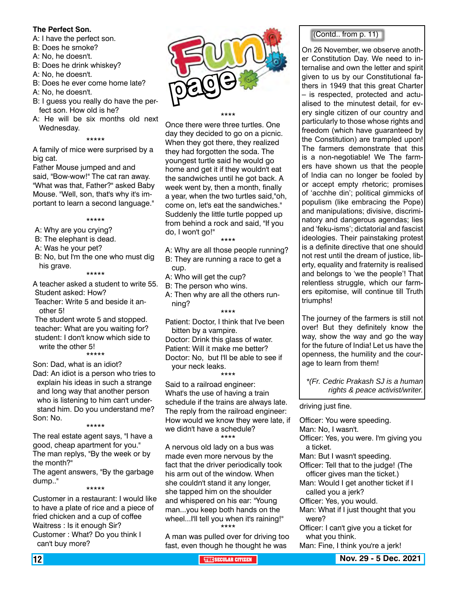#### **The Perfect Son.**

A: I have the perfect son.

- B: Does he smoke?
- A: No, he doesn't.
- B: Does he drink whiskey?
- A: No, he doesn't.
- B: Does he ever come home late?
- A: No, he doesn't.
- B: I guess you really do have the perfect son. How old is he?
- A: He will be six months old next Wednesday.

#### \*\*\*\*\*

A family of mice were surprised by a big cat.

Father Mouse jumped and and said, "Bow-wow!" The cat ran away. "What was that, Father?" asked Baby Mouse. "Well, son, that's why it's important to learn a second language."

\*\*\*\*\*

A: Why are you crying?

B: The elephant is dead.

A: Was he your pet?

B: No, but I'm the one who must dig his grave.

\*\*\*\*\*

- A teacher asked a student to write 55. Student asked: How?
- Teacher: Write 5 and beside it another 5!

The student wrote 5 and stopped. teacher: What are you waiting for? student: I don't know which side to write the other 5! \*\*\*\*\*

Son: Dad, what is an idiot?

Dad: An idiot is a person who tries to explain his ideas in such a strange and long way that another person who is listening to him can't understand him. Do you understand me? Son: No. \*\*\*\*\*

The real estate agent says, "I have a good, cheap apartment for you." The man replys, "By the week or by the month?"

The agent answers, "By the garbage dump.." \*\*\*\*\*

Customer in a restaurant: I would like to have a plate of rice and a piece of fried chicken and a cup of coffee Waitress : Is it enough Sir? Customer : What? Do you think I can't buy more?



\*\*\*\*

Once there were three turtles. One day they decided to go on a picnic. When they got there, they realized they had forgotten the soda. The youngest turtle said he would go home and get it if they wouldn't eat the sandwiches until he got back. A week went by, then a month, finally a year, when the two turtles said,"oh, come on, let's eat the sandwiches." Suddenly the little turtle popped up from behind a rock and said, "If you do, I won't go!"

\*\*\*\*

- A: Why are all those people running?
- B: They are running a race to get a cup.
- A: Who will get the cup?
- B: The person who wins.
- A: Then why are all the others running?

\*\*\*\*

- Patient: Doctor, I think that I've been bitten by a vampire.
- Doctor: Drink this glass of water.
- Patient: Will it make me better? Doctor: No, but I'll be able to see if

your neck leaks.

#### \*\*\*\* Said to a railroad engineer: What's the use of having a train schedule if the trains are always late. The reply from the railroad engineer: How would we know they were late, if we didn't have a schedule? \*\*\*\*

A nervous old lady on a bus was made even more nervous by the fact that the driver periodically took his arm out of the window. When she couldn't stand it any longer, she tapped him on the shoulder and whispered on his ear: "Young man...you keep both hands on the wheel...I'll tell you when it's raining!" \*\*\*\*

A man was pulled over for driving too fast, even though he thought he was

#### (Contd.. from p. 11)

On 26 November, we observe another Constitution Day. We need to internalise and own the letter and spirit given to us by our Constitutional fathers in 1949 that this great Charter – is respected, protected and actualised to the minutest detail, for every single citizen of our country and particularly to those whose rights and freedom (which have guaranteed by the Constitution) are trampled upon! The farmers demonstrate that this is a non-negotiable! We The farmers have shown us that the people of India can no longer be fooled by or accept empty rhetoric; promises of 'acchhe din'; political gimmicks of populism (like embracing the Pope) and manipulations; divisive, discriminatory and dangerous agendas; lies and 'feku-isms'; dictatorial and fascist ideologies. Their painstaking protest is a definite directive that one should not rest until the dream of justice, liberty, equality and fraternity is realised and belongs to 'we the people'! That relentless struggle, which our farmers epitomise, will continue till Truth triumphs!

The journey of the farmers is still not over! But they definitely know the way, show the way and go the way for the future of India! Let us have the openness, the humility and the courage to learn from them!

*\*(Fr. Cedric Prakash SJ is a human rights & peace activist/writer.*

driving just fine.

Officer: You were speeding.

Man: No, I wasn't.

- Officer: Yes, you were. I'm giving you a ticket.
- Man: But I wasn't speeding.
- Officer: Tell that to the judge! (The officer gives man the ticket.)
- Man: Would I get another ticket if I called you a jerk?
- Officer: Yes, you would.
- Man: What if I just thought that you were?
- Officer: I can't give you a ticket for what you think.

Man: Fine, I think you're a jerk!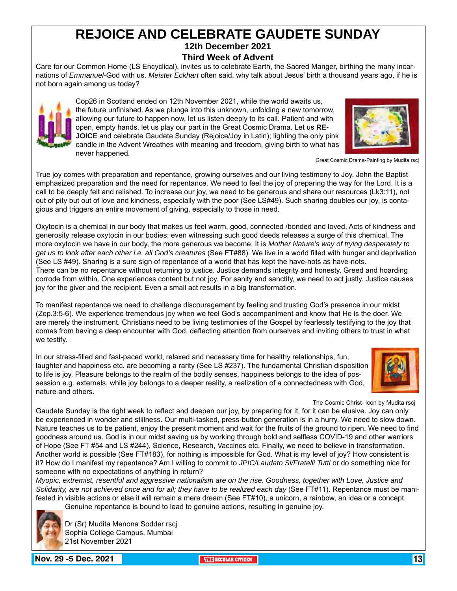#### **REJOICE AND CELEBRATE GAUDETE SUNDAY 12th December 2021**

**Third Week of Advent**

Care for our Common Home (LS Encyclical), invites us to celebrate Earth, the Sacred Manger, birthing the many incarnations of *Emmanuel*-God with us. *Meister Eckhart* often said, why talk about Jesus' birth a thousand years ago, if he is not born again among us today?



Cop26 in Scotland ended on 12th November 2021, while the world awaits us, the future unfinished. As we plunge into this unknown, unfolding a new tomorrow, allowing our future to happen now, let us listen deeply to its call. Patient and with open, empty hands, let us play our part in the Great Cosmic Drama. Let us **RE-JOICE** and celebrate Gaudete Sunday (Rejoice/Joy in Latin); lighting the only pink candle in the Advent Wreathes with meaning and freedom, giving birth to what has never happened.<br>
Great Cosmic Drama-Painting by Mudita rscj



True joy comes with preparation and repentance, growing ourselves and our living testimony to Joy. John the Baptist emphasized preparation and the need for repentance. We need to feel the joy of preparing the way for the Lord. It is a call to be deeply felt and relished. To increase our joy, we need to be generous and share our resources (Lk3:11), not out of pity but out of love and kindness, especially with the poor (See LS#49). Such sharing doubles our joy, is contagious and triggers an entire movement of giving, especially to those in need.

Oxytocin is a chemical in our body that makes us feel warm, good, connected /bonded and loved. Acts of kindness and generosity release oxytocin in our bodies; even witnessing such good deeds releases a surge of this chemical. The more oxytocin we have in our body, the more generous we become. It is *Mother Nature's way of trying desperately to get us to look after each other i.e. all God's creatures* (See FT#88). We live in a world filled with hunger and deprivation (See LS #49). Sharing is a sure sign of repentance of a world that has kept the have-nots as have-nots. There can be no repentance without returning to justice. Justice demands integrity and honesty. Greed and hoarding corrode from within. One experiences content but not joy. For sanity and sanctity, we need to act justly. Justice causes joy for the giver and the recipient. Even a small act results in a big transformation.

To manifest repentance we need to challenge discouragement by feeling and trusting God's presence in our midst (Zep.3:5-6). We experience tremendous joy when we feel God's accompaniment and know that He is the doer. We are merely the instrument. Christians need to be living testimonies of the Gospel by fearlessly testifying to the joy that comes from having a deep encounter with God, deflecting attention from ourselves and inviting others to trust in what we testify.

In our stress-filled and fast-paced world, relaxed and necessary time for healthy relationships, fun, laughter and happiness etc. are becoming a rarity (See LS #237). The fundamental Christian disposition to life is joy. Pleasure belongs to the realm of the bodily senses, happiness belongs to the idea of possession e.g. externals, while joy belongs to a deeper reality, a realization of a connectedness with God, nature and others.



The Cosmic Christ- Icon by Mudita rscj

Gaudete Sunday is the right week to reflect and deepen our joy, by preparing for it, for it can be elusive. Joy can only be experienced in wonder and stillness. Our multi-tasked, press-button generation is in a hurry. We need to slow down. Nature teaches us to be patient, enjoy the present moment and wait for the fruits of the ground to ripen. We need to find goodness around us. God is in our midst saving us by working through bold and selfless COVID-19 and other warriors of Hope (See FT #54 and LS #244), Science, Research, Vaccines etc. Finally, we need to believe in transformation. Another world is possible (See FT#183), for nothing is impossible for God. What is my level of joy? How consistent is it? How do I manifest my repentance? Am I willing to commit to *JPIC/Laudato Si/Fratelli Tutti* or do something nice for someone with no expectations of anything in return?

*Myopic, extremist, resentful and aggressive nationalism are on the rise. Goodness, together with Love, Justice and Solidarity, are not achieved once and for all; they have to be realized each day* (See FT#11). Repentance must be manifested in visible actions or else it will remain a mere dream (See FT#10), a unicorn, a rainbow, an idea or a concept. Genuine repentance is bound to lead to genuine actions, resulting in genuine joy.



Dr (Sr) Mudita Menona Sodder rscj Sophia College Campus, Mumbai 21st November 2021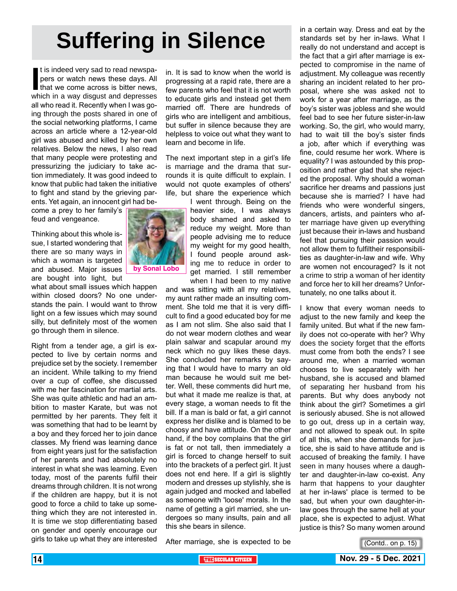# **Suffering in Silence**

If is indeed very sad to read newspapers or watch news these days. All that we come across is bitter news, which in a way disgust and depresses t is indeed very sad to read newspapers or watch news these days. All that we come across is bitter news, all who read it. Recently when I was going through the posts shared in one of the social networking platforms, I came across an article where a 12-year-old girl was abused and killed by her own relatives. Below the news, I also read that many people were protesting and pressurizing the judiciary to take action immediately. It was good indeed to know that public had taken the initiative to fight and stand by the grieving parents. Yet again, an innocent girl had be-

come a prey to her family's

Thinking about this whole issue, I started wondering that there are so many ways in which a woman is targeted and abused. Major issues are bought into light, but

feud and vengeance.

what about small issues which happen within closed doors? No one understands the pain. I would want to throw light on a few issues which may sound silly, but definitely most of the women go through them in silence.

Right from a tender age, a girl is expected to live by certain norms and prejudice set by the society. I remember an incident. While talking to my friend over a cup of coffee, she discussed with me her fascination for martial arts. She was quite athletic and had an ambition to master Karate, but was not permitted by her parents. They felt it was something that had to be learnt by a boy and they forced her to join dance classes. My friend was learning dance from eight years just for the satisfaction of her parents and had absolutely no interest in what she was learning. Even today, most of the parents fulfil their dreams through children. It is not wrong if the children are happy, but it is not good to force a child to take up something which they are not interested in. It is time we stop differentiating based on gender and openly encourage our girls to take up what they are interested

in. It is sad to know when the world is progressing at a rapid rate, there are a few parents who feel that it is not worth to educate girls and instead get them married off. There are hundreds of girls who are intelligent and ambitious, but suffer in silence because they are helpless to voice out what they want to learn and become in life.

The next important step in a girl's life is marriage and the drama that surrounds it is quite difficult to explain. I would not quote examples of others' life, but share the experience which

> I went through. Being on the heavier side, I was always body shamed and asked to reduce my weight. More than people advising me to reduce my weight for my good health, I found people around asking me to reduce in order to get married. I still remember when I had been to my native

and was sitting with all my relatives, my aunt rather made an insulting comment. She told me that it is very difficult to find a good educated boy for me as I am not slim. She also said that I do not wear modern clothes and wear plain salwar and scapular around my neck which no guy likes these days. She concluded her remarks by saying that I would have to marry an old man because he would suit me better. Well, these comments did hurt me, but what it made me realize is that, at every stage, a woman needs to fit the bill. If a man is bald or fat, a girl cannot express her dislike and is blamed to be choosy and have attitude. On the other hand, if the boy complains that the girl is fat or not tall, then immediately a girl is forced to change herself to suit into the brackets of a perfect girl. It just does not end here. If a girl is slightly modern and dresses up stylishly, she is again judged and mocked and labelled as someone with 'loose' morals. In the name of getting a girl married, she undergoes so many insults, pain and all this she bears in silence.

After marriage, she is expected to be

in a certain way. Dress and eat by the standards set by her in-laws. What I really do not understand and accept is the fact that a girl after marriage is expected to compromise in the name of adjustment. My colleague was recently sharing an incident related to her proposal, where she was asked not to work for a year after marriage, as the boy's sister was jobless and she would feel bad to see her future sister-in-law working. So, the girl, who would marry, had to wait till the boy's sister finds a job, after which if everything was fine, could resume her work. Where is equality? I was astounded by this proposition and rather glad that she rejected the proposal. Why should a woman sacrifice her dreams and passions just because she is married? I have had friends who were wonderful singers, dancers, artists, and painters who after marriage have given up everything just because their in-laws and husband feel that pursuing their passion would not allow them to fulfiltheir responsibilities as daughter-in-law and wife. Why are women not encouraged? Is it not a crime to strip a woman of her identity and force her to kill her dreams? Unfortunately, no one talks about it.

I know that every woman needs to adjust to the new family and keep the family united. But what if the new family does not co-operate with her? Why does the society forget that the efforts must come from both the ends? I see around me, when a married woman chooses to live separately with her husband, she is accused and blamed of separating her husband from his parents. But why does anybody not think about the girl? Sometimes a girl is seriously abused. She is not allowed to go out, dress up in a certain way, and not allowed to speak out. In spite of all this, when she demands for justice, she is said to have attitude and is accused of breaking the family. I have seen in many houses where a daughter and daughter-in-law co-exist. Any harm that happens to your daughter at her in-laws' place is termed to be sad, but when your own daughter-inlaw goes through the same hell at your place, she is expected to adjust. What justice is this? So many women around

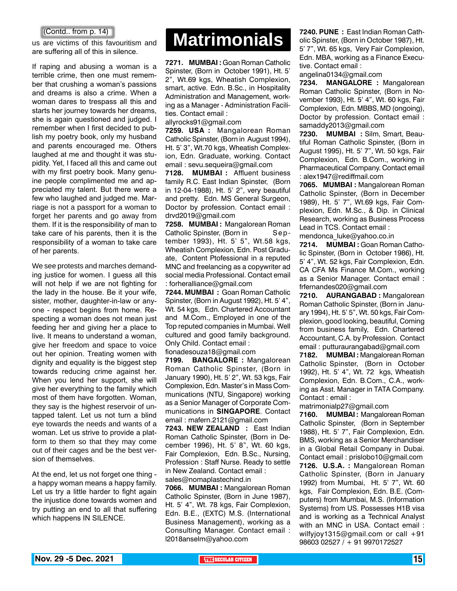#### (Contd.. from p. 14)

are suffering all of this in silence.

If raping and abusing a woman is a terrible crime, then one must remember that crushing a woman's passions and dreams is also a crime. When a woman dares to trespass all this and starts her journey towards her dreams, she is again questioned and judged. I remember when I first decided to publish my poetry book, only my husband and parents encouraged me. Others laughed at me and thought it was stupidity. Yet, I faced all this and came out with my first poetry book. Many genuine people complimented me and appreciated my talent. But there were a few who laughed and judged me. Marriage is not a passport for a woman to forget her parents and go away from them. If it is the responsibility of man to take care of his parents, then it is the responsibility of a woman to take care of her parents.

We see protests and marches demanding justice for women. I guess all this will not help if we are not fighting for the lady in the house. Be it your wife, sister, mother, daughter-in-law or anyone - respect begins from home. Respecting a woman does not mean just feeding her and giving her a place to live. It means to understand a woman, give her freedom and space to voice out her opinion. Treating women with dignity and equality is the biggest step towards reducing crime against her. When you lend her support, she will give her everything to the family which most of them have forgotten. Woman, they say is the highest reservoir of untapped talent. Let us not turn a blind eye towards the needs and wants of a woman. Let us strive to provide a platform to them so that they may come out of their cages and be the best version of themselves.

At the end, let us not forget one thing a happy woman means a happy family. Let us try a little harder to fight again the injustice done towards women and try putting an end to all that suffering which happens IN SILENCE.

## us are victims of this favouritism and **Matrimonials**

**7271. MUMBAI :** Goan Roman Catholic Spinster, (Born in October 1991), Ht. 5' 2", Wt.69 kgs, Wheatish Complexion, smart, active. Edn. B.Sc., in Hospitality Administration and Management, working as a Manager - Administration Facilities. Contact email :

allyrocks91@gmail.com

**7259. USA :** Mangalorean Roman Catholic Spinster, (Born in August 1994), Ht. 5' 3", Wt.70 kgs, Wheatish Complexion, Edn. Graduate, working. Contact email : sevu.sequeira@gmail.com

**7128. MUMBAI :** Affluent business family R.C. East Indian Spinster, (Born in 12-04-1988), Ht. 5' 2", very beautiful and pretty. Edn. MS General Surgeon, Doctor by profession. Contact email : drvd2019@gmail.com

**7258. MUMBAI :** Mangalorean Roman Catholic Spinster, (Born in September 1993), Ht. 5' 5", Wt.58 kgs, Wheatish Complexion, Edn. Post Graduate, Content Ptofessional in a reputed MNC and freelancing as a copywriter ad social media Professional. Contact email : forheralliance@gmail.com

**7244. MUMBAI :** Goan Roman Catholic Spinster, (Born in August 1992), Ht. 5' 4", Wt. 54 kgs, Edn. Chartered Accountant and M.Com., Employed in one of the Top reputed companies in Mumbai. Well cultured and good family background. Only Child. Contact email :

fionadesouza18@gmail.com

**7199. BANGALORE :** Mangalorean Roman Catholic Spinster, (Born in January 1990), Ht. 5' 2", Wt. 53 kgs, Fair Complexion, Edn. Master's in Mass Communications (NTU, Singapore) working as a Senior Manager of Corporate Communications in **SINGAPORE**. Contact email : mafern.2121@gmail.com

**7243. NEW ZEALAND :** East Indian Roman Catholic Spinster, (Born in December 1996), Ht. 5' 8", Wt. 60 kgs, Fair Complexion, Edn. B.Sc., Nursing, Profession : Staff Nurse. Ready to settle in New Zealand. Contact email : sales@nomaplastechind.in

**7066. MUMBAI :** Mangalorean Roman Catholic Spinster, (Born in June 1987), Ht. 5' 4", Wt. 78 kgs, Fair Complexion, Edn. B.E., (EXTC) M.S. (International Business Management), working as a Consulting Manager. Contact email : l2018anselm@yahoo.com

**7240. PUNE :** East Indian Roman Catholic Spinster, (Born in October 1987), Ht. 5' 7", Wt. 65 kgs, Very Fair Complexion, Edn. MBA, working as a Finance Executive. Contact email :

angelina0134@gmail.com

**7234. MANGALORE :** Mangalorean Roman Catholic Spinster, (Born in November 1993), Ht. 5' 4", Wt. 60 kgs, Fair Complexion, Edn. MBBS, MD (ongoing), Doctor by profession. Contact email : samaddy2013@gmail.com

**7230. MUMBAI :** Silm, Smart, Beautiful Roman Catholic Spinster, (Born in August 1995), Ht. 5' 7", Wt. 50 kgs, Fair Complexion, Edn. B.Com., working in Pharmaceutical Company. Contact email : alex1947@rediffmail.com

**7065. MUMBAI :** Mangalorean Roman Catholic Spinster, (Born in December 1989), Ht. 5' 7", Wt.69 kgs, Fair Complexion, Edn. M.Sc., & Dip. in Clinical Research, working as Business Process Lead in TCS. Contact email :

mendonca\_luke@yahoo.co.in

**7214. MUMBAI :** Goan Roman Catholic Spinster, (Born in October 1986), Ht. 5' 4", Wt. 52 kgs, Fair Complexion, Edn. CA CFA Ms Finance M.Com., working as a Senior Manager. Contact email : frfernandes020@gmail.com

**7210. AURANGABAD :** Mangalorean Roman Catholic Spinster, (Born in January 1994), Ht. 5' 5", Wt. 50 kgs, Fair Complexion, good looking, beautiful, Coming from business family, Edn. Chartered Accountant, C.A. by Profession. Contact email : putturaurangabad@gmail.com

**7182. MUMBAI :** Mangalorean Roman Catholic Spinster, (Born in October 1992), Ht. 5' 4", Wt. 72 kgs, Wheatish Complexion, Edn. B.Com., C.A., working as Asst. Manager in TATA Company. Contact : email :

matrimonialp27@gmail.com

**7160. MUMBAI :** Mangalorean Roman Catholic Spinster, (Born in September 1988), Ht. 5' 7", Fair Complexion, Edn. BMS, working as a Senior Merchandiser in a Global Retail Company in Dubai. Contact email : prislobo10@gmail.com **7126. U.S.A. :** Mangalorean Roman Catholic Spinster, (Born in January 1992) from Mumbai, Ht. 5' 7", Wt. 60 kgs, Fair Complexion, Edn. B.E. (Computers) from Mumbai, M.S. (Information Systems) from US. Possesses H1B visa and is working as a Technical Analyst with an MNC in USA. Contact email : wilfyjoy1315@gmail.com or call +91 98603 02527 / + 91 9970172527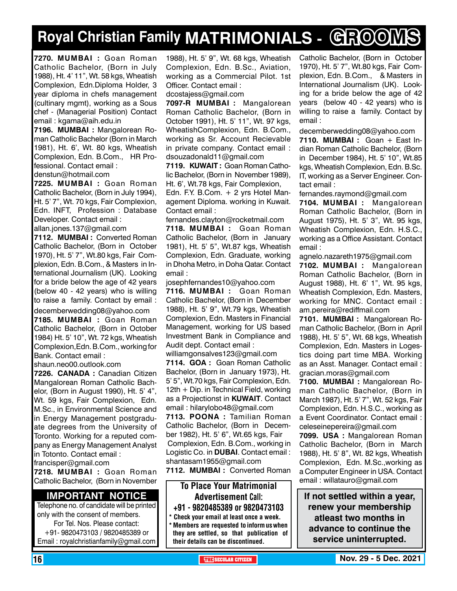## **Royal Christian Family MATRIMONIALS - GROOMS**

**7270. MUMBAI :** Goan Roman Catholic Bachelor, (Born in July 1988), Ht. 4' 11", Wt. 58 kgs, Wheatish Complexion, Edn.Diploma Holder, 3 year diploma in chefs management (cultinary mgmt), working as a Sous chef - (Managerial Position) Contact email : kgama@aih.edu.in

**7196. MUMBAI :** Mangalorean Roman Catholic Bachelor (Born in March 1981), Ht. 6', Wt. 80 kgs, Wheatish Complexion, Edn. B.Com., HR Professional. Contact email : denstun@hotmail.com

**7225. MUMBAI :** Goan Roman Catholic Bachelor, (Born in July 1994), Ht. 5' 7", Wt. 70 kgs, Fair Complexion, Edn. INFT, Profession : Database Developer. Contact email :

allan.jones.137@gmail.com

**7112. MUMBAI :** Converted Roman Catholic Bachelor, (Born in October 1970), Ht. 5' 7", Wt.80 kgs, Fair Complexion, Edn. B.Com., & Masters in International Journalism (UK). Looking for a bride below the age of 42 years (below 40 - 42 years) who is willing to raise a family. Contact by email : decemberwedding08@yahoo.com

**7185. MUMBAI :** Goan Roman Catholic Bachelor, (Born in October 1984) Ht. 5' 10", Wt. 72 kgs, Wheatish Complexion,Edn. B.Com., working for Bank. Contact email :

shaun.neo00.outlook.com

**7226. CANADA :** Canadian Citizen Mangalorean Roman Catholic Bachelor, (Born in August 1990), Ht. 5' 4", Wt. 59 kgs, Fair Complexion, Edn. M.Sc., in Environmental Science and in Energy Management postgraduate degrees from the University of Toronto. Working for a reputed company as Energy Management Analyst in Totonto. Contact email : francisper@gmail.com

**7218. MUMBAI :** Goan Roman

Catholic Bachelor, (Born in November

#### **Important Notice**

Telephone no. of candidate will be printed only with the consent of members. For Tel. Nos. Please contact: +91- 9820473103 / 9820485389 or Email : royalchristianfamily@gmail.com

1988), Ht. 5' 9", Wt. 68 kgs, Wheatish Complexion, Edn. B.Sc., Aviation, working as a Commercial Pilot. 1st Officer. Contact email :

dcostajess@gmail.com

**7097-R MUMBAI :** Mangalorean Roman Catholic Bachelor, (Born in October 1991), Ht. 5' 11", Wt. 97 kgs, WheatishComplexion, Edn. B.Com., working as Sr. Account Recievable in private company. Contact email : dsouzadonald11@gmail.com

**7119. KUWAIT :** Goan Roman Catholic Bachelor, (Born in November 1989), Ht. 6', Wt.78 kgs, Fair Complexion,

Edn. F.Y. B.Com. + 2 yrs Hotel Management Diploma. working in Kuwait. Contact email :

fernandes.clayton@rocketmail.com **7118. MUMBAI :** Goan Roman Catholic Bachelor, (Born in January 1981), Ht. 5' 5", Wt.87 kgs, Wheatish

Complexion, Edn. Graduate, working in Dhoha Metro, in Doha Qatar. Contact email :

josephfernandes10@yahoo.com

**7116. MUMBAI :** Goan Roman Catholic Bachelor, (Born in December 1988), Ht. 5' 9", Wt.79 kgs, Wheatish Complexion, Edn. Masters in Financial Management, working for US based Investment Bank in Compliance and Audit dept. Contact email :

williamgonsalves123@gmail.com **7114. GOA :** Goan Roman Catholic Bachelor, (Born in January 1973), Ht. 5' 5", Wt.70 kgs, Fair Complexion, Edn. 12th + Dip. in Technical Field, working as a Projectionst in **KUWAIT**. Contact email : hilarylobo48@gmail.com

**7113. POONA :** Tamilian Roman Catholic Bachelor, (Born in December 1982), Ht. 5' 6", Wt.65 kgs, Fair Complexion, Edn. B.Com., working in Logistic Co. in **DUBAI**. Contact email : shantasam1955@gmail.com

**7112. MUMBAI :** Converted Roman

#### To Place Your Matrimonial Advertisement Call: +91 - 9820485389 or 9820473103

\* Check your email at least once a week. \* Members are requested to inform us when they are settled, so that publication of their details can be discontinued.

Catholic Bachelor, (Born in October 1970), Ht. 5' 7", Wt.80 kgs, Fair Complexion, Edn. B.Com., & Masters in International Journalism (UK). Looking for a bride below the age of 42 years (below 40 - 42 years) who is willing to raise a family. Contact by email :

decemberwedding08@yahoo.com

**7110. MUMBAI :** Goan + East Indian Roman Catholic Bachelor, (Born in December 1984), Ht. 5' 10", Wt.85 kgs, Wheatish Complexion, Edn. B.Sc. IT, working as a Server Engineer. Contact email :

fernandes.raymond@gmail.com

**7104. MUMBAI :** Mangalorean Roman Catholic Bachelor, (Born in August 1975), Ht. 5' 3", Wt. 95 kgs, Wheatish Complexion, Edn. H.S.C., working as a Office Assistant. Contact email :

agnelo.nazareth1975@gmail.com **7102. MUMBAI :** Mangalorean Roman Catholic Bachelor, (Born in August 1988), Ht. 6' 1", Wt. 95 kgs, Wheatish Complexion, Edn. Masters, working for MNC. Contact email : am.pereira@rediffmail.com

**7101. MUMBAI :** Mangalorean Roman Catholic Bachelor, (Born in April 1988), Ht. 5' 5", Wt. 68 kgs, Wheatish Complexion, Edn. Masters in Logestics doing part time MBA. Working as an Asst. Manager. Contact email : gracian.moras@gmail.com

**7100. MUMBAI :** Mangalorean Roman Catholic Bachelor, (Born in March 1987), Ht. 5' 7", Wt. 52 kgs, Fair Complexion, Edn. H.S.C., working as a Event Coordinator. Contact email : celeseinepereira@gmail.com

**7099. USA :** Mangalorean Roman Catholic Bachelor, (Born in March 1988), Ht. 5' 8", Wt. 82 kgs, Wheatish Complexion, Edn. M.Sc.,working as a Computer Engineer in USA. Contact email : willatauro@gmail.com

**If not settled within a year, renew your membership atleast two months in advance to continue the service uninterrupted.**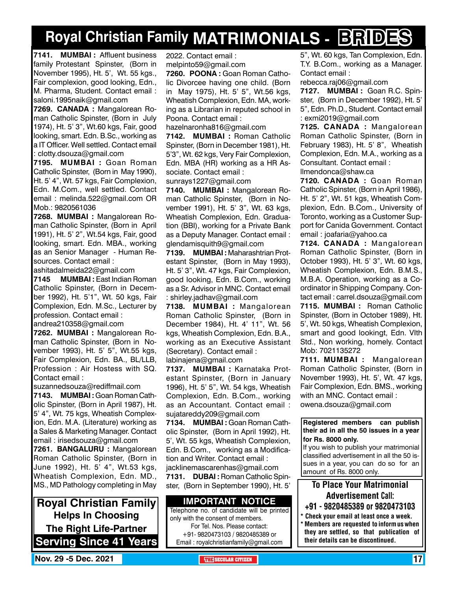## **Royal Christian Family MATRIMONIALS - BRIDES**

**7141. MUMBAI :** Affluent business family Protestant Spinster, (Born in November 1995), Ht. 5', Wt. 55 kgs., Fair complexion, good looking, Edn., M. Pharma, Student. Contact email : saloni.1995naik@gmail.com

**7269. CANADA :** Mangalorean Roman Catholic Spinster, (Born in July 1974), Ht. 5' 3", Wt.60 kgs, Fair, good looking, smart. Edn. B.Sc., working as a IT Officer. Well settled. Contact email : clotty.dsouza@gmail.com

**7195. MUMBAI :** Goan Roman Catholic Spinster, (Born in May 1990), Ht. 5' 4", Wt. 57 kgs, Fair Complexion, Edn. M.Com., well settled. Contact email : melinda.522@gmail.com OR Mob.: 9820561036

**7268. MUMBAI :** Mangalorean Roman Catholic Spinster, (Born in April 1991), Ht. 5' 2", Wt.54 kgs, Fair, good looking, smart. Edn. MBA., working as an Senior Manager - Human Resources. Contact email :

ashitadalmeida22@gmail.com

**7145 MUMBAI :** East Indian Roman Catholic Spinster, (Born in December 1992), Ht. 5'1", Wt. 50 kgs, Fair Complexion, Edn. M.Sc., Lecturer by profession. Contact email : andrea210358@gmail.com

**7262. MUMBAI :** Mangalorean Ro-

man Catholic Spinster, (Born in November 1993), Ht. 5' 5", Wt.55 kgs, Fair Complexion, Edn. BA., BL/LLB, Profession : Air Hostess with SQ. Contact email :

suzannedsouza@rediffmail.com

**7143. MUMBAI :** Goan Roman Catholic Spinster, (Born in April 1987), Ht. 5' 4", Wt. 75 kgs, Wheatish Complexion, Edn. M.A. (Literature) working as a Sales & Marketing Manager. Contact email : irisedsouza@gmail.com

**7261. bangaluru :** Mangalorean Roman Catholic Spinster, (Born in June 1992), Ht. 5' 4", Wt.53 kgs, Wheatish Complexion, Edn. MD., MS., MD Pathology completing in May

**Royal Christian Family Helps In Choosing The Right Life-Partner Serving Since 41 Years** 2022. Contact email : melpinto59@gmail.com

**7260. POONA :** Goan Roman Catholic Divorcee having one child. (Born in May 1975), Ht. 5' 5", Wt.56 kgs, Wheatish Complexion, Edn. MA, working as a Librarian in reputed school in Poona. Contact email :

hazelnaronha816@gmail.com

**7142. MUMBAI :** Roman Catholic Spinster, (Born in December 1981), Ht. 5'3", Wt. 62 kgs, Very Fair Complexion, Edn. MBA (HR) working as a HR Associate. Contact email :

sunrays1227@gmail.com

**7140. MUMBAI :** Mangalorean Roman Catholic Spinster, (Born in November 1991), Ht. 5' 3", Wt. 63 kgs, Wheatish Complexion, Edn. Graduation (BBI), working for a Private Bank as a Deputy Manager. Contact email : glendamisquith9@gmail.com

**7139. MUMBAI :** Maharashtrian Protestant Spinster, (Born in May 1993), Ht. 5' 3", Wt. 47 kgs, Fair Complexion, good looking, Edn. B.Com., working as a Sr. Advisor in MNC. Contact email : shirley.jadhav@gmail.com

**7138. MUMBAI :** Mangalorean Roman Catholic Spinster, (Born in December 1984), Ht. 4' 11", Wt. 56 kgs, Wheatish Complexion, Edn. B.A., working as an Executive Assistant (Secretary). Contact email : labinajena@gmail.com

**7137. MUMBAI :** Karnataka Protestant Spinster, (Born in January 1996), Ht. 5' 5", Wt. 54 kgs, Wheatish Complexion, Edn. B.Com., working as an Accountant. Contact email : sujatareddy209@gmail.com

**7134. MUMBAI :** Goan Roman Catholic Spinster, (Born in April 1992), Ht. 5', Wt. 55 kgs, Wheatish Complexion, Edn. B.Com., working as a Modification and Writer. Contact email : jacklinemascarenhas@gmail.com

**7131. DUBAI :** Roman Catholic Spinster, (Born in September 1990), Ht. 5'

#### **Important Notice**

Telephone no. of candidate will be printed only with the consent of members. For Tel. Nos. Please contact: +91- 9820473103 / 9820485389 or

Email : royalchristianfamily@gmail.com

5", Wt. 60 kgs, Tan Complexion, Edn. T.Y. B.Com., working as a Manager. Contact email :

rebecca.raj06@gmail.com

**7127. MUMBAI :** Goan R.C. Spinster, (Born in December 1992), Ht. 5' 5", Edn. Ph.D., Student. Contact email : exmi2019@gmail.com

**7125. CANADA :** Mangalorean Roman Catholic Spinster, (Born in February 1983), Ht. 5' 8", Wheatish Complexion, Edn. M.A., working as a Consultant. Contact email : llmendonca@shaw.ca

**7120. CANADA :** Goan Roman Catholic Spinster, (Born in April 1986), Ht. 5' 2", Wt. 51 kgs, Wheatish Complexion, Edn. B.Com., University of Toronto, working as a Customer Support for Canida Government. Contact email : joafaria@yahoo.ca

**7124. CANADA :** Mangalorean Roman Catholic Spinster, (Born in October 1993), Ht. 5' 3", Wt. 60 kgs, Wheatish Complexion, Edn. B.M.S., M.B.A. Operation, working as a Coordinator in Shipping Company. Contact email : carrel.dsouza@gmail.com

**7115. MUMBAI :** Roman Catholic Spinster, (Born in October 1989), Ht. 5', Wt. 50 kgs, Wheatish Complexion, smart and good lookingt, Edn. VIth Std., Non working, homely. Contact Mob: 7021135272

**7111. MUMBAI :** Mangalorean Roman Catholic Spinster, (Born in November 1993), Ht. 5', Wt. 47 kgs, Fair Complexion, Edn. BMS., working with an MNC. Contact email : owena.dsouza@gmail.com

**Registered members can publish their ad in all the 50 issues in a year for Rs. 8000 only.**

If you wish to publish your matrimonial classified advertisement in all the 50 issues in a year, you can do so for an amount of Rs. 8000 only.

### To Place Your Matrimonial Advertisement Call:

- +91 9820485389 or 9820473103
- Check your email at least once a week. Members are requested to inform us when they are settled, so that publication of their details can be discontinued.

**Nov. 29 -5 Dec. 2021 The City of the SECULAR CITIZEN THE** SECULAR CITIZEN **17**  $\frac{1}{2}$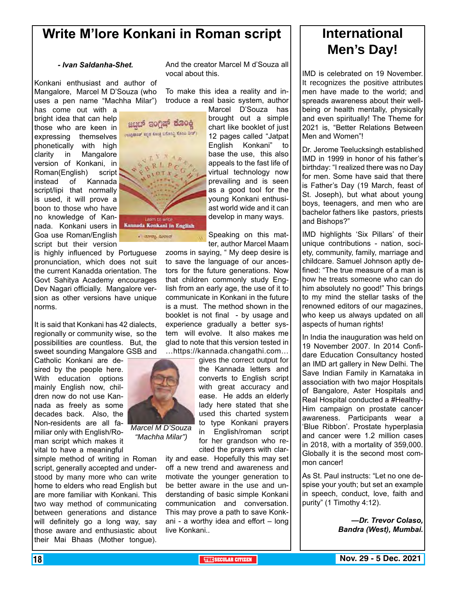### **Write M'lore Konkani in Roman script**

ಜಬದ್ ಇಂಗಿಷ್ ಕೂಂಕ್ಲಿ (negment sign doop unineg Koon Star)

- avery avered

#### *- Ivan Saldanha-Shet.*

Konkani enthusiast and author of Mangalore, Marcel M D'Souza (who uses a pen name "Machha Milar")

has come out with a bright idea that can help those who are keen in expressing themselves phonetically with high clarity in Mangalore version of Konkani, in Roman(English) script instead of Kannada script/lipi that normally is used, it will prove a boon to those who have no knowledge of Kannada. Konkani users in Kannada Konkani in English Goa use Roman/English script but their version

is highly influenced by Portuguese pronunciation, which does not suit the current Kanadda orientation. The Govt Sahitya Academy encourages Dev Nagari officially. Mangalore version as other versions have unique norms.

It is said that Konkani has 42 dialects, regionally or community wise, so the possibilities are countless. But, the sweet sounding Mangalore GSB and

Catholic Konkani are desired by the people here. With education options mainly English now, children now do not use Kannada as freely as some decades back. Also, the Non-residents are all familiar only with English/Roman script which makes it vital to have a meaningful

simple method of writing in Roman script, generally accepted and understood by many more who can write home to elders who read English but are more familiar with Konkani. This two way method of communicating between generations and distance will definitely go a long way, say those aware and enthusiastic about their Mai Bhaas (Mother tongue).

And the creator Marcel M d'Souza all vocal about this.

To make this idea a reality and introduce a real basic system, author

> Marcel D'Souza has brought out a simple chart like booklet of just 12 pages called "Jatpat English Konkani" to base the use, this also appeals to the fast life of virtual technology now prevailing and is seen as a good tool for the young Konkani enthusiast world wide and it can develop in many ways.

> Speaking on this matter, author Marcel Maam

zooms in saying, " My deep desire is to save the language of our ancestors for the future generations. Now that children commonly study English from an early age, the use of it to communicate in Konkani in the future is a must. The method shown in the booklet is not final - by usage and experience gradually a better system will evolve. It also makes me glad to note that this version tested in …https://kannada.changathi.com…

gives the correct output for the Kannada letters and converts to English script with great accuracy and ease. He adds an elderly lady here stated that she used this charted system to type Konkani prayers in English/roman script for her grandson who recited the prayers with clar-

ity and ease. Hopefully this may set off a new trend and awareness and motivate the younger generation to be better aware in the use and understanding of basic simple Konkani communication and conversation. This may prove a path to save Konkani - a worthy idea and effort – long live Konkani..

## **International Men's Day!**

IMD is celebrated on 19 November. It recognizes the positive attributes men have made to the world; and spreads awareness about their wellbeing or health mentally, physically and even spiritually! The Theme for 2021 is, "Better Relations Between Men and Women"!

Dr. Jerome Teelucksingh established IMD in 1999 in honor of his father's birthday: "I realized there was no Day for men. Some have said that there is Father's Day (19 March, feast of St. Joseph), but what about young boys, teenagers, and men who are bachelor fathers like pastors, priests and Bishops?"

IMD highlights 'Six Pillars' of their unique contributions - nation, society, community, family, marriage and childcare. Samuel Johnson aptly defined: "The true measure of a man is how he treats someone who can do him absolutely no good!" This brings to my mind the stellar tasks of the renowned editors of our magazines, who keep us always updated on all aspects of human rights!

In India the inauguration was held on 19 November 2007. In 2014 Confidare Education Consultancy hosted an IMD art gallery in New Delhi. The Save Indian Family in Karnataka in association with two major Hospitals of Bangalore, Aster Hospitals and Real Hospital conducted a #Healthy-Him campaign on prostate cancer awareness. Participants wear a 'Blue Ribbon'. Prostate hyperplasia and cancer were 1.2 million cases in 2018, with a mortality of 359,000. Globally it is the second most common cancer!

As St. Paul instructs: "Let no one despise your youth; but set an example in speech, conduct, love, faith and purity" (1 Timothy 4:12).

> *—Dr. Trevor Colaso, Bandra (West), Mumbai.*

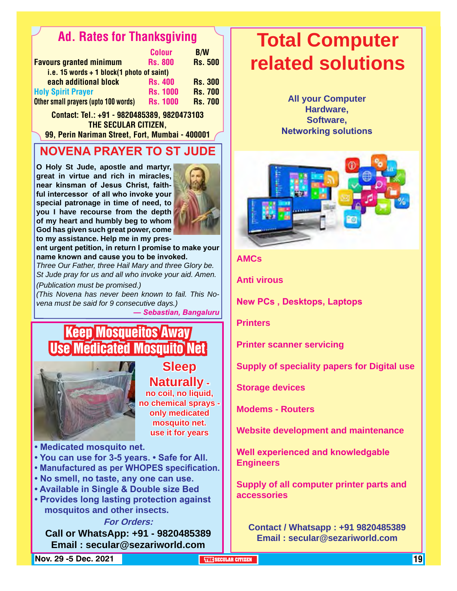### Ad. Rates for Thanksgiving

|                                             | <b>Colour</b>   | <b>B/W</b>     |
|---------------------------------------------|-----------------|----------------|
| <b>Favours granted minimum</b>              | <b>Rs. 800</b>  | <b>Rs. 500</b> |
| i.e. 15 words $+$ 1 block(1 photo of saint) |                 |                |
| each additional block                       | <b>Rs. 400</b>  | <b>Rs. 300</b> |
| <b>Holy Spirit Prayer</b>                   | <b>Rs. 1000</b> | <b>Rs. 700</b> |
| Other small prayers (upto 100 words)        | <b>Rs. 1000</b> | <b>Rs. 700</b> |

Contact: Tel.: +91 - 9820485389, 9820473103 THE SECULAR CITIZEN.

99, Perin Nariman Street, Fort, Mumbai - 400001

### **NOVENA PRAYER TO ST JUDE**

**O Holy St Jude, apostle and martyr, great in virtue and rich in miracles, near kinsman of Jesus Christ, faithful intercessor of all who invoke your special patronage in time of need, to you I have recourse from the depth of my heart and humbly beg to whom God has given such great power, come** 



**to my assistance. Help me in my present urgent petition, in return I promise to make your** 

**name known and cause you to be invoked.**

*Three Our Father, three Hail Mary and three Glory be. St Jude pray for us and all who invoke your aid. Amen.* 

*(Publication must be promised.)*

*(This Novena has never been known to fail. This Novena must be said for 9 consecutive days.)*

*— Sebastian, Bangaluru*

## Keep Mosqueitos Away Use Medicated Mosquito Net



**Sleep Naturally -** 

**no coil, no liquid, no chemical sprays only medicated mosquito net. use it for years**

**• Medicated mosquito net.**

- **You can use for 3-5 years. Safe for All.**
- **Manufactured as per WHOPES specification.**
- **No smell, no taste, any one can use.**
- **Available in Single & Double size Bed**
- **Provides long lasting protection against mosquitos and other insects.**

#### **For Orders:**

**Call or WhatsApp: +91 - 9820485389 Email : secular@sezariworld.com**

**Nov. 29 -5 Dec. 2021 THE SECULAR CITIZEN** 19

## **Total Computer related solutions**

**All your Computer Hardware, Software, Networking solutions**



#### **AMCs**

**Anti virous** 

**New PCs , Desktops, Laptops**

**Printers**

**Printer scanner servicing**

**Supply of speciality papers for Digital use**

**Storage devices**

**Modems - Routers**

**Website development and maintenance**

**Well experienced and knowledgable Engineers**

**Supply of all computer printer parts and accessories**

**Contact / Whatsapp : +91 9820485389 Email : secular@sezariworld.com**